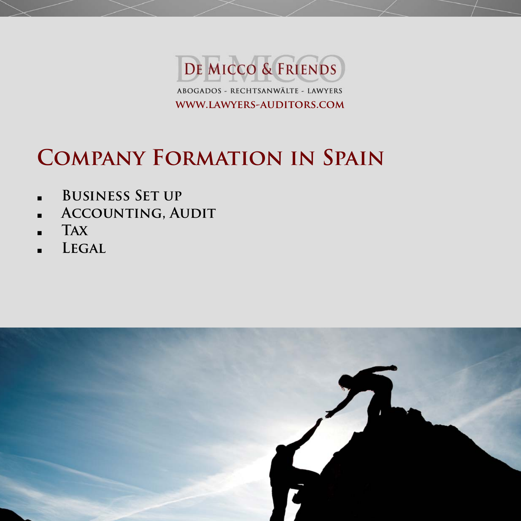

# **Company Formation in Spain**

- **Business Set up**
- **Accounting, Audit**
- **Tax**
- **Legal**

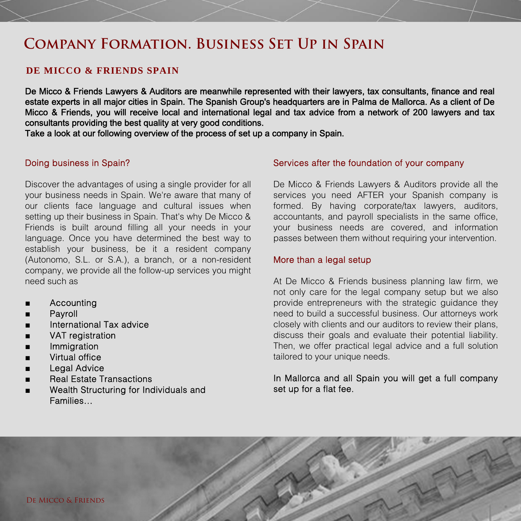# **Company Formation. Business Set Up in Spain**

# **DE MICCO & FRIENDS SPAIN**

De Micco & Friends Lawyers & Auditors are meanwhile represented with their lawyers, tax consultants, finance and real estate experts in all major cities in Spain. The Spanish Group's headquarters are in Palma de Mallorca. As a client of De Micco & Friends, you will receive local and international legal and tax advice from a network of 200 lawyers and tax consultants providing the best quality at very good conditions.

Take a look at our following overview of the process of set up a company in Spain.

### Doing business in Spain?

Discover the advantages of using a single provider for all your business needs in Spain. We're aware that many of our clients face language and cultural issues when setting up their business in Spain. That's why De Micco & Friends is built around filling all your needs in your language. Once you have determined the best way to establish your business, be it a resident company (Autonomo, S.L. or S.A.), a branch, or a non-resident company, we provide all the follow-up services you might need such as

- **Accounting**
- **Payroll**
- International Tax advice
- VAT registration
- **Immigration**
- **Virtual office**
- **Legal Advice**
- **Real Estate Transactions**
- Wealth Structuring for Individuals and Families…

# Services after the foundation of your company

De Micco & Friends Lawyers & Auditors provide all the services you need AFTER your Spanish company is formed. By having corporate/tax lawyers, auditors, accountants, and payroll specialists in the same office, your business needs are covered, and information passes between them without requiring your intervention.

# More than a legal setup

At De Micco & Friends business planning law firm, we not only care for the legal company setup but we also provide entrepreneurs with the strategic guidance they need to build a successful business. Our attorneys work closely with clients and our auditors to review their plans, discuss their goals and evaluate their potential liability. Then, we offer practical legal advice and a full solution tailored to your unique needs.

# In Mallorca and all Spain you will get a full company set up for a flat fee.

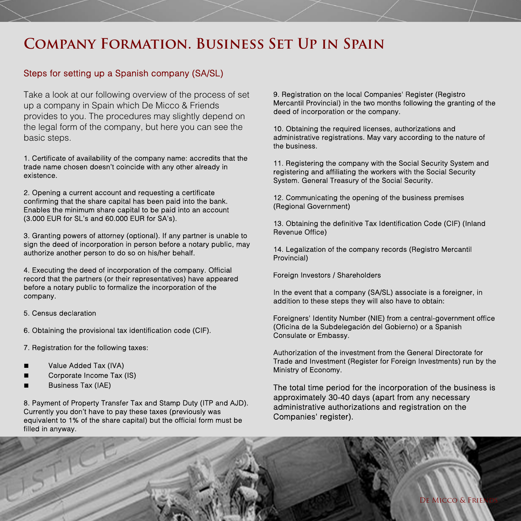# **Company Formation. Business Set Up in Spain**

# Steps for setting up a Spanish company (SA/SL)

Take a look at our following overview of the process of set up a company in Spain which De Micco & Friends provides to you. The procedures may slightly depend on the legal form of the company, but here you can see the basic steps.

1. Certificate of availability of the company name: accredits that the trade name chosen doesn't coincide with any other already in existence.

2. Opening a current account and requesting a certificate confirming that the share capital has been paid into the bank. Enables the minimum share capital to be paid into an account (3.000 EUR for SL's and 60.000 EUR for SA's).

3. Granting powers of attorney (optional). If any partner is unable to sign the deed of incorporation in person before a notary public, may authorize another person to do so on his/her behalf.

4. Executing the deed of incorporation of the company. Official record that the partners (or their representatives) have appeared before a notary public to formalize the incorporation of the company.

5. Census declaration

6. Obtaining the provisional tax identification code (CIF).

7. Registration for the following taxes:

- Value Added Tax (IVA)
- Corporate Income Tax (IS)
- Business Tax (IAE)

8. Payment of Property Transfer Tax and Stamp Duty (ITP and AJD). Currently you don't have to pay these taxes (previously was equivalent to 1% of the share capital) but the official form must be filled in anyway.

9. Registration on the local Companies' Register (Registro) Mercantil Provincial) in the two months following the granting of the deed of incorporation or the company.

10. Obtaining the required licenses, authorizations and administrative registrations. May vary according to the nature of the business.

11. Registering the company with the Social Security System and registering and affiliating the workers with the Social Security System. General Treasury of the Social Security.

12. Communicating the opening of the business premises (Regional Government)

13. Obtaining the definitive Tax Identification Code (CIF) (Inland Revenue Office)

14. Legalization of the company records (Registro Mercantil Provincial)

Foreign Investors / Shareholders

In the event that a company (SA/SL) associate is a foreigner, in addition to these steps they will also have to obtain:

Foreigners' Identity Number (NIE) from a central-government office (Oficina de la Subdelegación del Gobierno) or a Spanish Consulate or Embassy.

Authorization of the investment from the General Directorate for Trade and Investment (Register for Foreign Investments) run by the Ministry of Economy.

The total time period for the incorporation of the business is approximately 30-40 days (apart from any necessary administrative authorizations and registration on the Companies' register).